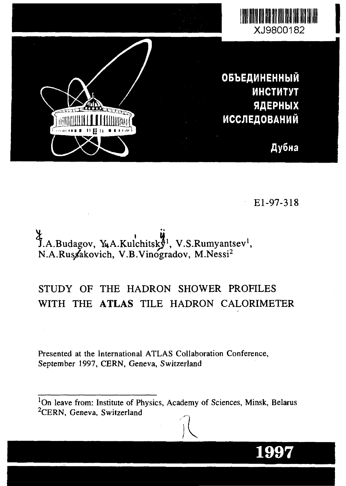

El-97-318

**1997**

J.A.Budagov, Y.A.Kulchitsky<sup>1</sup>, V.S.Rumyantsev<sup>1</sup>, N.A.Ruszakovich, V.B.Vinogradov, M.Nessi<sup>2</sup>

# STUDY OF THE HADRON SHOWER PROFILES WITH THE ATLAS TILE HADRON CALORIMETER

Presented at the International ATLAS Collaboration Conference, September 1997, CERN, Geneva, Switzerland

<sup>1</sup>On leave from: Institute of Physics, Academy of Sciences, Minsk, Belarus <sup>2</sup>CERN, Geneva, Switzerland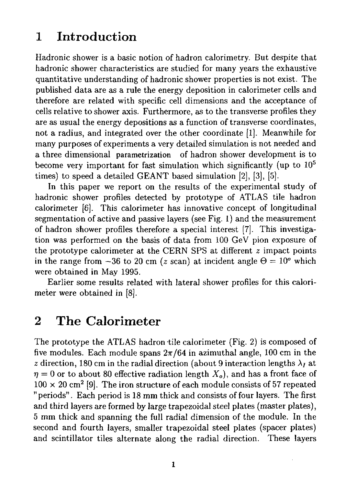# 1 Introduction

Hadronic shower is a basic notion of hadron calorimetry. But despite that hadronic shower characteristics are studied for many years the exhaustive quantitative understanding of hadronic shower properties is not exist. The published data are as a rule the energy deposition in calorimeter cells and therefore are related with specific cell dimensions and the acceptance of cells relative to shower axis. Furthermore, as to the transverse profiles they are as usual the energy depositions as a function of transverse coordinates, not a radius, and integrated over the other coordinate [1]. Meanwhile for many purposes of experiments a very detailed simulation is not needed and a three dimensional parametrization of hadron shower development is to become very important for fast simulation which significantly (up to 10<sup>5</sup> times) to speed a detailed GEANT based simulation [2], [3], [5].

In this paper we report on the results of the experimental study of hadronic shower profiles detected by prototype of ATLAS tile hadron calorimeter [6]. This calorimeter has innovative concept of longitudinal segmentation of active and passive layers (see Fig. 1) and the measurement of hadron shower profiles therefore a special interest [7]. This investigation was performed on the basis of data from 100 GeV pion exposure of the prototype calorimeter at the CERN SPS at different *z* impact points in the range from  $-36$  to 20 cm (*z* scan) at incident angle  $\Theta = 10^{\circ}$  which were obtained in May 1995.

Earlier some results related with lateral shower profiles for this calorimeter were obtained in [8].

# 2 The Calorimeter

The prototype the ATLAS hadron tile calorimeter (Fig. 2) is composed of five modules. Each module spans  $2\pi/64$  in azimuthal angle, 100 cm in the *z* direction, 180 cm in the radial direction (about 9 interaction lengths  $\lambda_I$  at  $\eta = 0$  or to about 80 effective radiation length  $X_o$ , and has a front face of  $100 \times 20$  cm<sup>2</sup> [9]. The iron structure of each module consists of 57 repeated "periods". Each period is 18 mm thick and consists of four layers. The first and third layers are formed by large trapezoidal steel plates (master plates), 5 mm thick and spanning the full radial dimension of the module. In the second and fourth layers, smaller trapezoidal steel plates (spacer plates) and scintillator tiles alternate along the radial direction. These layers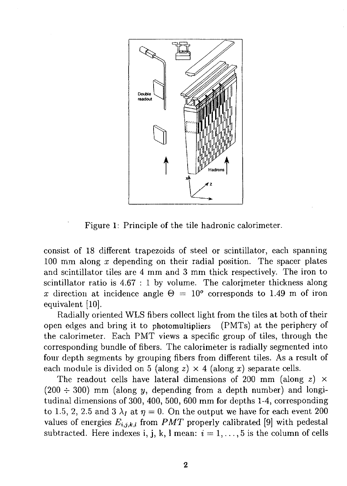

Figure 1: Principle of the tile hadronic calorimeter.

consist of 18 different trapezoids of steel or scintillator, each spanning 100 mm along *x* depending on their radial position. The spacer plates and scintillator tiles are 4 mm and 3 mm thick respectively. The iron to scintillator ratio is 4.67 : 1 by volume. The calorimeter thickness along *x* direction at incidence angle  $\Theta = 10^{\circ}$  corresponds to 1.49 m of iron equivalent [10].

Radially oriented WLS fibers collect light from the tiles at both of their open edges and bring it to photomultipliers (PMTs) at the periphery of the calorimeter. Each PMT views a specific group of tiles, through the corresponding bundle of fibers. The calorimeter is radially segmented into four depth segments by grouping fibers from different tiles. As a result of each module is divided on 5 (along  $z \times 4$  (along x) separate cells.

The readout cells have lateral dimensions of 200 mm (along *z)* x  $(200 \div 300)$  mm (along y, depending from a depth number) and longitudinal dimensions of 300, 400, 500, 600 mm for depths 1-4, corresponding to 1.5, 2, 2.5 and 3  $\lambda_I$  at  $\eta = 0$ . On the output we have for each event 200 values of energies  $E_{i,j,k,l}$  from PMT properly calibrated [9] with pedestal subtracted. Here indexes i, j, k, l mean:  $i = 1, \ldots, 5$  is the column of cells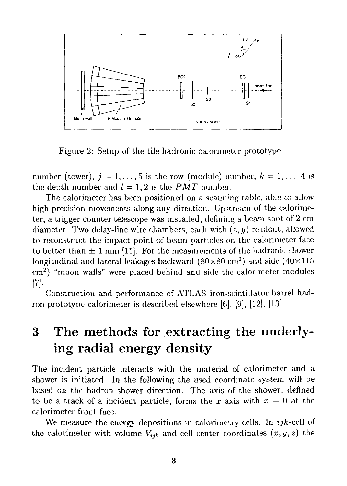

Figure 2: Setup of the tile hadronic calorimeter prototype.

number (tower),  $j = 1, ..., 5$  is the row (module) number,  $k = 1, ..., 4$  is the depth number and  $l = 1, 2$  is the *PMT* number.

The calorimeter has been positioned *on* a scanning table, able to allow high precision movements along any direction. Upstream of the calorimeter, a trigger counter telescope was installed, defining a beam spot of 2 cm diameter. Two delay-line wire chambers, each with *(z,y)* readout, allowed to reconstruct the impact point of beam particles on the calorimeter face to better than  $\pm 1$  mm [11]. For the measurements of the hadronic shower longitudinal and lateral leakages backward (80×80 cm<sup>2</sup>) and side (40×115  $\text{cm}^2$ ) "muon walls" were placed behind and side the calorimeter modules [7]-

Construction and performance of ATLAS iron-scintillator barrel hadron prototype calorimeter is described elsewhere [6], [9], [12], [13].

# 3 The methods for extracting the underlying radial energy density

The incident particle interacts with the material of calorimeter and a shower is initiated. In the following the used coordinate system will be based on the hadron shower direction. The axis of the shower, defined to be a track of a incident particle, forms the x axis with  $x = 0$  at the calorimeter front face.

We measure the energy depositions in calorimetry cells. In *ijk*-cell of the calorimeter with volume  $V_{ijk}$  and cell center coordinates  $(x, y, z)$  the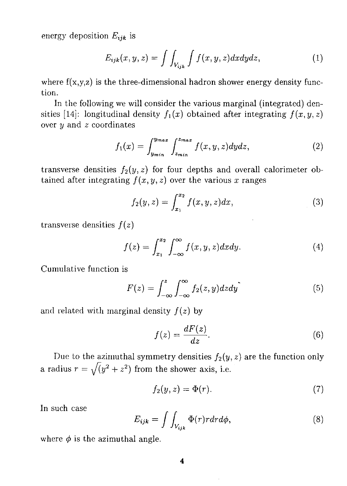energy deposition  $E_{ijk}$  is

$$
E_{ijk}(x, y, z) = \int \int_{V_{ijk}} \int f(x, y, z) dx dy dz, \qquad (1)
$$

where  $f(x,y,z)$  is the three-dimensional hadron shower energy density function.

In the following we will consider the various marginal (integrated) densities [14]: longitudinal density  $f_1(x)$  obtained after integrating  $f(x,y,z)$ over *y* and *z* coordinates

$$
f_1(x) = \int_{y_{min}}^{y_{max}} \int_{z_{min}}^{z_{max}} f(x, y, z) dy dz,
$$
 (2)

transverse densities  $f_2(y, z)$  for four depths and overall calorimeter obtained after integrating  $f(x, y, z)$  over the various x ranges

$$
f_2(y, z) = \int_{x_1}^{x_2} f(x, y, z) dx,
$$
 (3)

transverse densities *f(z)*

$$
f(z) = \int_{x_1}^{x_2} \int_{-\infty}^{\infty} f(x, y, z) dx dy.
$$
 (4)

Cumulative function is

$$
F(z) = \int_{-\infty}^{z} \int_{-\infty}^{\infty} f_2(z, y) dz dy
$$
 (5)

and related with marginal density *f(z)* by

$$
f(z) = \frac{dF(z)}{dz}.
$$
 (6)

Due to the azimuthal symmetry densities  $f_2(y, z)$  are the function only a radius  $r = \sqrt{y^2 + z^2}$  from the shower axis, i.e.

$$
f_2(y, z) = \Phi(r). \tag{7}
$$

In such case

$$
E_{ijk} = \int \int_{V_{ijk}} \Phi(r) r dr d\phi, \qquad (8)
$$

where  $\phi$  is the azimuthal angle.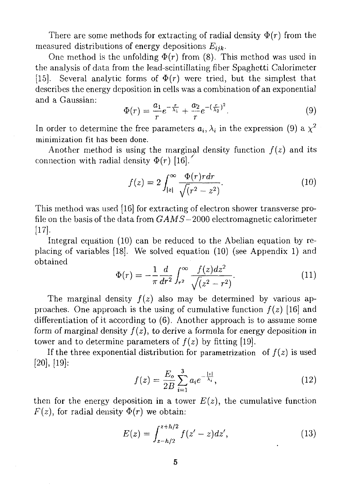There are some methods for extracting of radial density  $\Phi(r)$  from the measured distributions of energy depositions  $E_{ijk}$ .

One method is the unfolding  $\Phi(r)$  from (8). This method was used in the analysis of data from the lead-scintillating fiber Spaghetti Calorimeter [15]. Several analytic forms of  $\Phi(r)$  were tried, but the simplest that describes the energy deposition in cells was a combination of an exponential and a Gaussian:

$$
\Phi(r) = \frac{a_1}{r} e^{-\frac{r}{\lambda_1}} + \frac{a_2}{r} e^{-(\frac{r}{\lambda_2})^2}.
$$
\n(9)

In order to determine the free parameters  $a_i, \lambda_i$  in the expression (9) a  $\chi^2$ minimization fit has been done.

Another method is using the marginal density function  $f(z)$  and its connection with radial density  $\Phi(r)$  [16].

$$
f(z) = 2 \int_{|z|}^{\infty} \frac{\Phi(r)r dr}{\sqrt{(r^2 - z^2)}}.
$$
 (10)

This method was used [16] for extracting of electron shower transverse profile on the basis of the data from *GAMS—*2000 electromagnetic calorimeter [17].

Integral equation (10) can be reduced to the Abelian equation by replacing of variables [18]. We solved equation (10) (see Appendix 1) and obtained

$$
\Phi(r) = -\frac{1}{\pi} \frac{d}{dr^2} \int_{r^2}^{\infty} \frac{f(z)dz^2}{\sqrt{(z^2 - r^2)}}.
$$
\n(11)

The marginal density  $f(z)$  also may be determined by various approaches. One approach is the using of cumulative function  $f(z)$  [16] and differentiation of it according to (6). Another approach is to assume some form of marginal density  $f(z)$ , to derive a formula for energy deposition in tower and to determine parameters of  $f(z)$  by fitting [19].

If the three exponential distribution for parametrization of  $f(z)$  is used [20], [19]:

$$
f(z) = \frac{E_o}{2B} \sum_{i=1}^{3} a_i e^{-\frac{|z|}{\lambda_i}},
$$
\n(12)

then for the energy deposition in a tower  $E(z)$ , the cumulative function  $F(z)$ , for radial density  $\Phi(r)$  we obtain:

$$
E(z) = \int_{z-h/2}^{z+h/2} f(z'-z)dz',
$$
\n(13)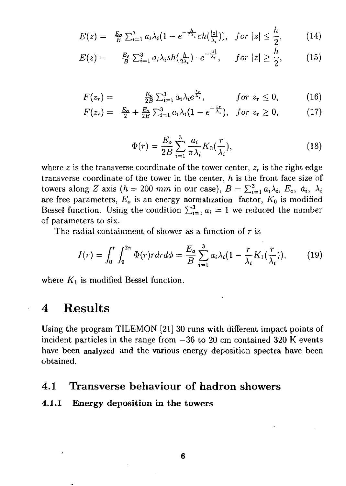$$
E(z) = \frac{E_o}{B} \sum_{i=1}^3 a_i \lambda_i (1 - e^{-\frac{h}{2\lambda_i}} ch(\frac{|z|}{\lambda_i})), \quad \text{for } |z| \leq \frac{h}{2}, \tag{14}
$$

$$
E(z) = \frac{E_0}{B} \sum_{i=1}^3 a_i \lambda_i sh(\frac{h}{2\lambda_i}) \cdot e^{-\frac{|z|}{\lambda_i}}, \quad \text{for } |z| \ge \frac{h}{2}, \quad (15)
$$

$$
F(z_r) = \frac{E_o}{2B} \sum_{i=1}^3 a_i \lambda_i e^{\frac{z_r}{\lambda_i}}, \qquad \text{for } z_r \leq 0,
$$
 (16)

$$
F(z_r) = \frac{E_2}{2} + \frac{E_2}{2B} \sum_{i=1}^3 a_i \lambda_i (1 - e^{-\frac{z_r}{\lambda_i}}), \quad \text{for } z_r \ge 0,
$$
 (17)

$$
\Phi(r) = \frac{E_o}{2B} \sum_{i=1}^{3} \frac{a_i}{\pi \lambda_i} K_0(\frac{r}{\lambda_i}), \qquad (18)
$$

where z is the transverse coordinate of the tower center,  $z<sub>r</sub>$  is the right edge transverse coordinate of the tower in the center, *h* is the front face size of towers along Z axis ( $h = 200$  mm in our case),  $B = \sum_{i=1}^{3} a_i \lambda_i$ ,  $E_o$ ,  $a_i$ ,  $\lambda_i$ are free parameters,  $E_o$  is an energy normalization factor,  $K_0$  is modified Bessel function. Using the condition  $\sum_{i=1}^{3} a_i = 1$  we reduced the number of parameters to six.

The radial containment of shower as a function of  $r$  is

$$
I(r) = \int_0^r \int_0^{2\pi} \Phi(r) r dr d\phi = \frac{E_o}{B} \sum_{i=1}^3 a_i \lambda_i (1 - \frac{r}{\lambda_i} K_1(\frac{r}{\lambda_i})), \qquad (19)
$$

where  $K_1$  is modified Bessel function.

# 4 Results

Using the program TILEMON [21] 30 runs with different impact points of incident particles in the range from  $-36$  to 20 cm contained 320 K events have been analyzed and the various energy deposition spectra have been obtained.

### 4.1 Transverse behaviour of hadron showers

#### **4.1.1 Energy deposition in the towers**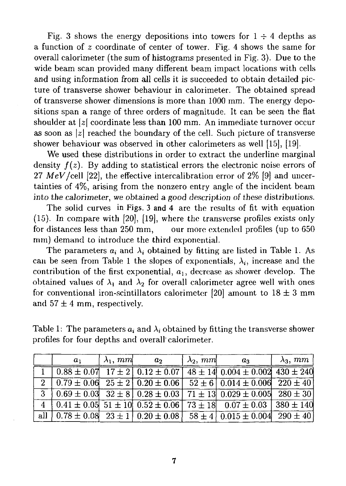Fig. 3 shows the energy depositions into towers for  $1 \div 4$  depths as a function of *z* coordinate of center of tower. Fig. 4 shows the same for overall calorimeter (the sum of histograms presented in Fig. 3). Due to the wide beam scan provided many different beam impact locations with cells and using information from all cells it is succeeded to obtain detailed picture of transverse shower behaviour in calorimeter. The obtained spread of transverse shower dimensions is more than 1000 mm. The energy depositions span a range of three orders of magnitude. It can be seen the flat shoulder at  $|z|$  coordinate less than 100 mm. An immediate turnover occur as soon as *\z\* reached the boundary of the cell. Such picture of transverse shower behaviour was observed in other calorimeters as well [15], [19].

We used these distributions in order to extract the underline marginal density  $f(z)$ . By adding to statistical errors the electronic noise errors of 27 MeV/cell [22], the effective intercalibration error of  $2\%$  [9] and uncertainties of 4%, arising from the nonzero entry angle of the incident beam into the calorimeter, we obtained a good description of these distributions.

The solid curves in Figs. 3 and 4 are the results of fit with equation (15). In compare with [20], [19], where the transverse profiles exists only for distances less than 250 mm, our more extended profiles (up to 650) mm) demand to introduce the third exponential.

The parameters  $a_i$  and  $\lambda_i$  obtained by fitting are listed in Table 1. As can be seen from Table 1 the slopes of exponentials,  $\lambda_i$ , increase and the contribution of the first exponential,  $a_1$ , decrease as shower develop. The obtained values of  $\lambda_1$  and  $\lambda_2$  for overall calorimeter agree well with ones for conventional iron-scintillators calorimeter [20] amount to  $18 \pm 3$  mm and  $57 \pm 4$  mm, respectively.

Table 1: The parameters  $a_i$  and  $\lambda_i$  obtained by fitting the transverse shower profiles for four depths and overall' calorimeter.

|          | $a_1$ | $\lambda_1$ , $mm$ | a <sub>2</sub> | $\lambda_2$ , mm | $a_3$                                                                                                                        | $\lambda_3, \, mm$ |
|----------|-------|--------------------|----------------|------------------|------------------------------------------------------------------------------------------------------------------------------|--------------------|
|          |       |                    |                |                  | $0.88 \pm 0.07$ 17 ± 2 $0.12 \pm 0.07$ 48 ± 14 $0.004 \pm 0.002$ 430 ± 240                                                   |                    |
|          |       |                    |                |                  | $2   0.79 \pm 0.06   25 \pm 2   0.20 \pm 0.06   52 \pm 6   0.014 \pm 0.006   220 \pm 40  $                                   |                    |
| $-3$ $+$ |       |                    |                |                  | $\left[0.69 \pm 0.03\right]$ 32 $\pm$ 8 $\left[0.28 \pm 0.03\right]$ 71 $\pm$ 13 $\left[0.029 \pm 0.005\right]$ 280 $\pm$ 30 |                    |
|          |       |                    |                |                  | $4 \mid 0.41 \pm 0.05$ $51 \pm 10 \mid 0.52 \pm 0.06$ $73 \pm 18 \mid 0.07 \pm 0.03$ $380 \pm 140$                           |                    |
|          |       |                    |                |                  |                                                                                                                              |                    |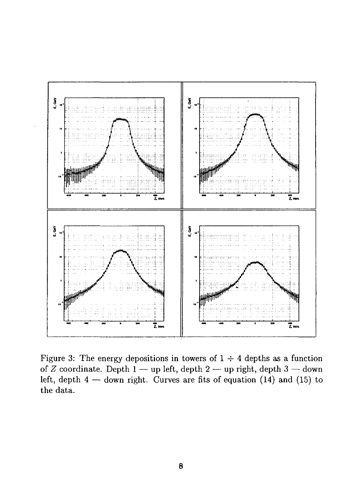

Figure 3: The energy depositions in towers of  $1 \div 4$  depths as a function of *Z* coordinate. Depth 1 — up left, depth 2 — up right, depth 3 — down left, depth  $4$  — down right. Curves are fits of equation (14) and (15) to the data.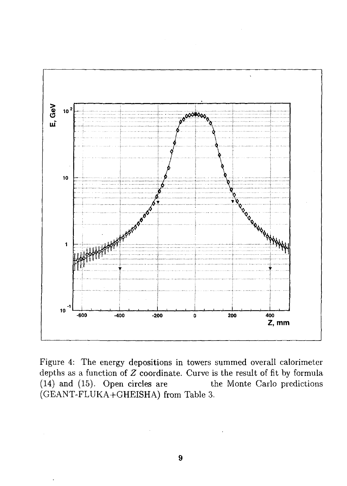

Figure 4: The energy depositions in towers summed overall calorimeter depths as a function of *Z* coordinate. Curve is the result of fit by formula (14) and (15). Open circles are the Monte Carlo predictions (GEANT-FLUKA+GHEISHA) from Table 3.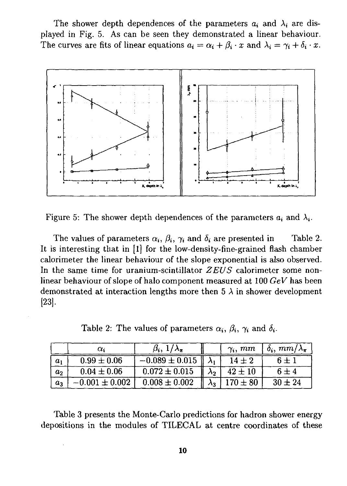The shower depth dependences of the parameters  $a_i$  and  $\lambda_i$  are displayed in Fig. 5. As can be seen they demonstrated a linear behaviour. The curves are fits of linear equations  $a_i = \alpha_i + \beta_i \cdot x$  and  $\lambda_i = \gamma_i + \delta_i \cdot x$ .



Figure 5: The shower depth dependences of the parameters  $a_i$  and  $\lambda_i$ .

The values of parameters  $\alpha_i$ ,  $\beta_i$ ,  $\gamma_i$  and  $\delta_i$  are presented in Table 2. It is interesting that in [1] for the low-density-fine-grained flash chamber calorimeter the linear behaviour of the slope exponential is also observed. In the same time for uranium-scintillator *ZEUS* calorimeter some nonlinear behaviour of slope of halo component measured at 100 *GeV* has been demonstrated at interaction lengths more then  $5 \lambda$  in shower development [23].

Table 2: The values of parameters  $\alpha_i$ ,  $\beta_i$ ,  $\gamma_i$  and  $\delta_i$ .

|       | α.                 | $\beta_i$ , $1/\lambda_{\pi}$     | $\gamma_i$ , $mm$ | $\delta_i$ , mm/ $\lambda_{\pi}$ |
|-------|--------------------|-----------------------------------|-------------------|----------------------------------|
| $a_1$ | $0.99 \pm 0.06$    | $-0.089 \pm 0.015$ $\  \lambda_1$ | $14 \pm 2$        | $6 \pm 1$                        |
| $a_2$ | $0.04 \pm 0.06$    | $0.072 \pm 0.015$                 | $42 \pm 10$       | $6 \pm 4$                        |
| $a_3$ | $-0.001 \pm 0.002$ | $0.008 \pm 0.002$                 | $170 \pm 80$      | $30 \pm 24$                      |

Table 3 presents the Monte-Carlo predictions for hadron shower energy depositions in the modules of TILECAL at centre coordinates of these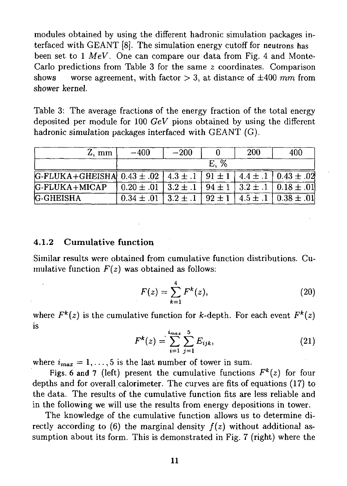modules obtained by using the different hadronic simulation packages interfaced with GEANT [8]. The simulation energy cutoff for neutrons has been set to 1 *MeV.* One can compare our data from Fig. 4 and Monte-Carlo predictions from Table 3 for the same *z* coordinates. Comparison shows worse agreement, with factor  $> 3$ , at distance of  $\pm 400$  mm from shower kernel.

Table 3: The average fractions of the energy fraction of the total energy deposited per module for 100 *GeV* pions obtained by using the different hadronic simulation packages interfaced with GEANT (G).

| Z, mm                                                                                      | $-400$                                                                     | $-200$ |      | 200 | 400                                                       |
|--------------------------------------------------------------------------------------------|----------------------------------------------------------------------------|--------|------|-----|-----------------------------------------------------------|
|                                                                                            |                                                                            |        | E. % |     |                                                           |
| G-FLUKA+GHEISHA $0.43 \pm .02$   $4.3 \pm .1$   $91 \pm 1$   $4.4 \pm .1$   $0.43 \pm .02$ |                                                                            |        |      |     |                                                           |
| G-FLUKA+MICAP                                                                              | $0.20 \pm .01$   $3.2 \pm .1$   $94 \pm 1$   $3.2 \pm .1$   $0.18 \pm .01$ |        |      |     |                                                           |
| <b>G-GHEISHA</b>                                                                           | $0.34 \pm .01$                                                             |        |      |     | $3.2 \pm .1$   $92 \pm 1$   $4.5 \pm .1$   $0.38 \pm .01$ |

#### **4.1.2 Cumulative function**

Similar results were obtained from cumulative function distributions. Cumulative function  $F(z)$  was obtained as follows:

$$
F(z) = \sum_{k=1}^{4} F^{k}(z),
$$
 (20)

where  $F^k(z)$  is the cumulative function for k-depth. For each event  $F^k(z)$ is

$$
F^{k}(z) = \sum_{i=1}^{i_{max}} \sum_{j=1}^{5} E_{ijk},
$$
 (21)

where  $i_{max} = 1, \ldots, 5$  is the last number of tower in sum.

Figs. 6 and 7 (left) present the cumulative functions  $F^k(z)$  for four depths and for overall calorimeter. The curves are fits of equations (17) to the data. The results of the cumulative function fits are less reliable and in the following we will use the results from energy depositions in tower.

The knowledge of the cumulative function allows us to determine directly according to  $(6)$  the marginal density  $f(z)$  without additional assumption about its form. This is demonstrated in Fig. 7 (right) where the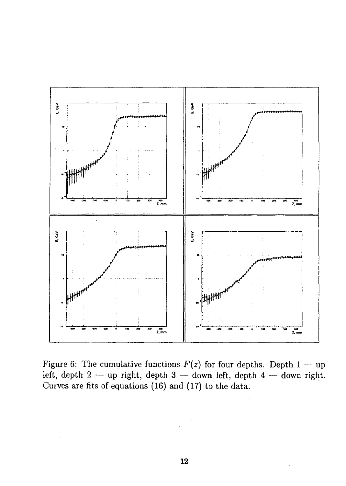

Figure 6: The cumulative functions  $F(z)$  for four depths. Depth 1 — up left, depth 2 — up right, depth 3 — down left, depth 4 — down right. Curves are fits of equations (16) and (17) to the data.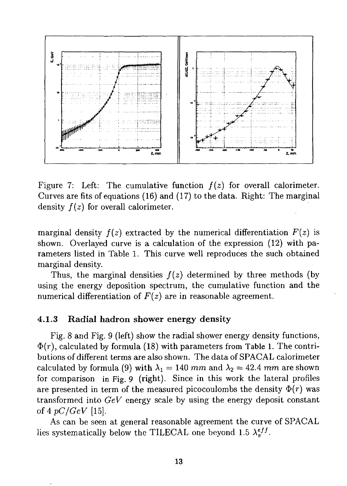

Figure 7: Left: The cumulative function  $f(z)$  for overall calorimeter. Curves are fits of equations (16) and (17) to the data. Right: The marginal density *f(z)* for overall calorimeter.

marginal density  $f(z)$  extracted by the numerical differentiation  $F(z)$  is shown. Overlayed curve is a calculation of the expression (12) with parameters listed in Table 1. This curve well reproduces the such obtained marginal density.

Thus, the marginal densities  $f(z)$  determined by three methods (by using the energy deposition spectrum, the cumulative function and the numerical differentiation of *F(z)* are in reasonable agreement.

#### **4.1.3 Radial hadron shower energy density**

Fig. 8 and Fig. 9 (left) show the radial shower energy density functions,  $\Phi(r)$ , calculated by formula (18) with parameters from Table 1. The contributions of different terms are also shown. The data of SPACAL calorimeter calculated by formula (9) with  $\lambda_1 = 140$  mm and  $\lambda_2 = 42.4$  mm are shown for comparison in Fig. 9 (right). Since in this work the lateral profiles are presented in term of the measured picocoulombs the density  $\Phi(r)$  was transformed into *GeV* energy scale by using the energy deposit constant of 4 *pC/GeV* [15].

As can be seen at general reasonable agreement the curve of SPACAL lies systematically below the TILECAL one beyond 1.5  $\lambda_{\pi}^{eff}$ .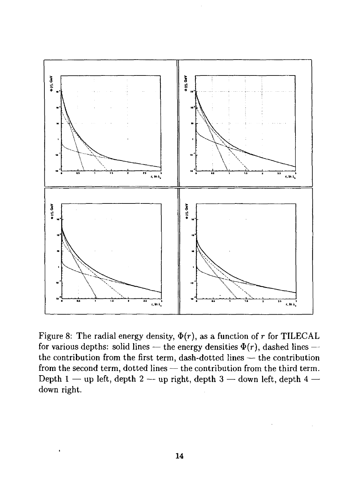

Figure 8: The radial energy density,  $\Phi(r)$ , as a function of r for TILECAL for various depths: solid lines — the energy densities  $\Phi(r)$ , dashed lines the contribution from the first term, dash-dotted lines — the contribution from the second term, dotted lines — the contribution from the third term. Depth 1 — up left, depth 2 — up right, depth 3 — down left, depth 4 down right.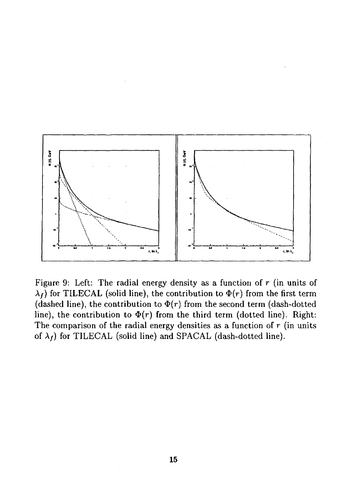

Figure 9: Left: The radial energy density as a function of *r* (in units of  $\lambda_t$ ) for TILECAL (solid line), the contribution to  $\Phi(r)$  from the first term (dashed line), the contribution to  $\Phi(r)$  from the second term (dash-dotted line), the contribution to  $\Phi(r)$  from the third term (dotted line). Right: The comparison of the radial energy densities as a function of *r* (in units of  $\lambda_f$ ) for TILECAL (solid line) and SPACAL (dash-dotted line).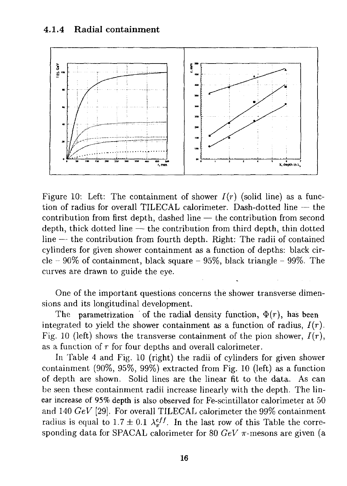

Figure 10: Left: The containment of shower  $I(r)$  (solid line) as a function of radius for overall TILECAL calorimeter. Dash-dotted line — the contribution from first depth, dashed line — the contribution from second depth, thick dotted line — the contribution from third depth, thin dotted line — the contribution from fourth depth. Right: The radii of contained cylinders for given shower containment as a function of depths: black circle  $-90\%$  of containment, black square  $-95\%$ , black triangle  $-99\%$ . The curves are drawn to guide the eye.

One of the important questions concerns the shower transverse dimensions and its longitudinal development.

The parametrization of the radial density function,  $\Phi(r)$ , has been integrated to yield the shower containment as a function of radius, *I(r).* Fig. 10 (left) shows the transverse containment of the pion shower,  $I(r)$ , as a function of r for four depths and overall calorimeter.

In Table 4 and Fig. 10 (right) the radii of cylinders for given shower containment (90%, 95%, 99%) extracted from Fig. 10 (left) as a function of depth are shown. Solid lines are the linear fit to the data. As can be seen these containment radii increase linearly with the depth. The linear increase of 95% depth is also observed for Fe-scintillator calorimeter at 50 and 140 *GeV* [29]. For overall TILECAL calorimeter the 99% containment radius is equal to  $1.7 \pm 0.1$   $\lambda_{\pi}^{eff}$ . In the last row of this Table the corresponding data for SPACAL calorimeter for 80  $GeV \pi$ -mesons are given (a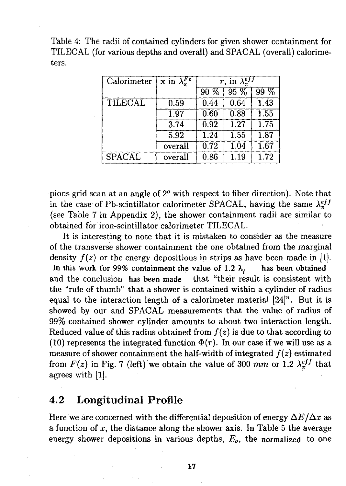Table 4: The radii of contained cylinders for given shower containment for TILECAL (for various depths and overall) and SPACAL (overall) calorimeters.

| Calorimeter   | x in $\lambda_{\tau}^{Fe}$ |          | $r$ , in $\bar{\lambda}^{eff}_{\pi}$ |        |
|---------------|----------------------------|----------|--------------------------------------|--------|
|               |                            | $90\%$   | $95\%$                               | $99\%$ |
| TILECAL       | 0.59                       | 0.44     | 0.64                                 | 1.43   |
|               | $\overline{1.97}$          | 0.60     | 0.88                                 | 1.55   |
|               | 3.74                       | 0.92     | 1.27                                 | 1.75   |
|               | 5.92                       | 1.24     | 1.55                                 | 1.87   |
|               | overall                    | 0.72     | 1.04                                 | 1.67   |
| <b>SPACAL</b> | overall                    | $0.86\,$ | 1.19                                 | 1.72   |

pions grid scan at an angle of *2°* with respect to fiber direction). Note that in the case of Pb-scintillator calorimeter SPACAL, having the same  $\lambda_{\pi}^{eff}$ (see Table 7 in Appendix 2), the shower containment radii are similar to obtained for iron-scintillator calorimeter TILECAL.

It is interesting to note that it is mistaken to consider as the measure of the transverse shower containment the one obtained from the marginal density  $f(z)$  or the energy depositions in strips as have been made in [1]. In this work for 99% containment the value of 1.2  $\lambda$ <sup>*t*</sup> has been obtained and the conclusion has been made that "their result is consistent with the "rule of thumb" that a shower is contained within a cylinder of radius equal to the interaction length of a calorimeter material [24]". But it is showed by our and SPACAL measurements that the value of radius of 99% contained shower cylinder amounts to about two interaction length. Reduced value of this radius obtained from  $f(z)$  is due to that according to (10) represents the integrated function  $\Phi(r)$ . In our case if we will use as a measure of shower containment the half-width of integrated  $f(z)$  estimated from  $F(z)$  in Fig. 7 (left) we obtain the value of 300 mm or 1.2  $\lambda \xi^{ff}$  that agrees with [1].

### 4.2 Longitudinal Profile

Here we are concerned with the differential deposition of energy  $\Delta E/\Delta x$  as a function of *x,* the distance along the shower axis. In Table 5 the average energy shower depositions in various depths, *Eo,* the normalized to one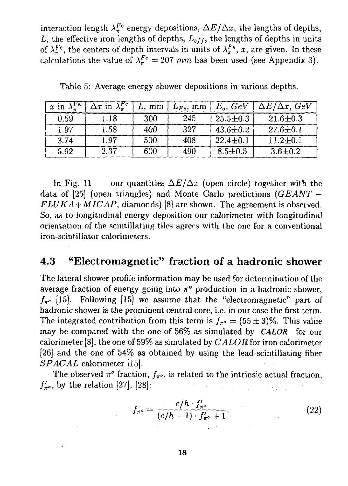interaction length  $\lambda_{\pi}^{Fe}$  energy depositions,  $\Delta E/\Delta x$ , the lengths of depths,  $L$ , the effective iron lengths of depths,  $L_{eff}$ , the lengths of depths in units of  $\lambda_{\pi}^{Fe}$ , the centers of depth intervals in units of  $\lambda_{\pi}^{Fe}$ , x, are given. In these calculations the value of  $\lambda_{\pi}^{Fe} = 207$  mm has been used (see Appendix 3).

| x in $\lambda_{\pi}^{Fe}$ | $\overline{\Delta x}$ in $\lambda_{\pi}^{Fe}$ | $L.~\mathrm{mm}$ |     | $L_{Fe}$ , mm $\mid E_o$ , $GeV$ | $\Delta E/\Delta x$ , GeV |
|---------------------------|-----------------------------------------------|------------------|-----|----------------------------------|---------------------------|
| 0.59                      | 1.18                                          | 300              | 245 | $25.5 \pm 0.3$                   | $21.6 \pm 0.3$            |
| 1.97                      | 1.58                                          | 400              | 327 | $43.6 \pm 0.2$                   | $27.6 \pm 0.1$            |
| 3.74                      | 1.97                                          | 500              | 408 | $22.4 \pm 0.1$                   | $11.2 \pm 0.1$            |
| 5.92                      | 2.37                                          | 600              | 490 | $8.5 \pm 0.5$                    | $3.6 \pm 0.2$             |

Table 5: Average energy shower depositions in various depths.

In Fig. 11 our quantities  $\Delta E/\Delta x$  (open circle) together with the data of [25] (open triangles) and Monte Carlo predictions *(GEANT - FLUKA + MICAP,* diamonds) [8] are shown. The agreement is observed. So, as to longitudinal energy deposition our calorimeter with longitudinal orientation of the scintillating tiles agrees with the one for a conventional iron-scintillator calorimeters.

#### 4.3 "Electromagnetic" fraction of a hadronic shower

The lateral shower profile information may be used for determination of the average fraction of energy going into *n°* production in a hadronic shower,  $f_{\pi^o}$  [15]. Following [15] we assume that the "electromagnetic" part of hadronic shower is the prominent central core, i.e. in our case the first term. The integrated contribution from this term is  $f_{\pi^o} = (55 \pm 3)\%$ . This value may be compared with the one of 56% as simulated by *CALOR* for our calorimeter [8], the one of 59% as simulated by *CALOR* for iron calorimeter [26] and the one of 54% as obtained by using the lead-scintillating fiber *SPACAL* calorimeter [15].

The observed  $\pi^o$  fraction,  $f_{\pi^o}$ , is related to the intrinsic actual fraction,  $f'_{\pi^o}$ , by the relation [27], [28]:

$$
f_{\pi^o} = \frac{e/h \cdot f'_{\pi^o}}{(e/h - 1) \cdot f'_{\pi^o} + 1}.
$$
 (22)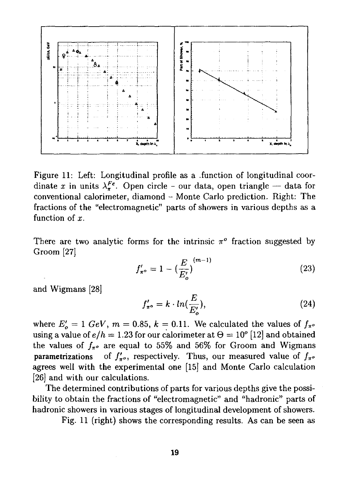

Figure 11: Left: Longitudinal profile as a .function of longitudinal coordinate x in units  $\lambda_{\pi}^{Fe}$ . Open circle - our data, open triangle - data for conventional calorimeter, diamond - Monte Carlo prediction. Right: The fractions of the "electromagnetic" parts of showers in various depths as a function of *x.*

There are two analytic forms for the intrinsic  $\pi^o$  fraction suggested by Groom [27]

$$
f'_{\pi^o} = 1 - \left(\frac{E}{E'_o}\right)^{(m-1)}
$$
 (23)

and Wigmans [28]

$$
f'_{\pi^{\circ}} = k \cdot ln(\frac{E}{E'_{o}}), \qquad (24)
$$

where  $E'_{\rho} = 1$   $GeV$ ,  $m = 0.85$ ,  $k = 0.11$ . We calculated the values of  $f_{\pi^{\rho}}$ using a value of  $e/h = 1.23$  for our calorimeter at  $\Theta = 10^{\circ}$  [12] and obtained the values of  $f_{\pi^o}$  are equal to 55% and 56% for Groom and Wigmans parametrizations of  $f'_{\pi^o}$ , respectively. Thus, our measured value of  $f_{\pi^o}$ agrees well with the experimental one [15] and Monte Carlo calculation [26] and with our calculations.

The determined contributions of parts for various depths give the possibility to obtain the fractions of "electromagnetic" and "hadronic" parts of hadronic showers in various stages of longitudinal development of showers.

Fig. 11 (right) shows the corresponding results. As can be seen as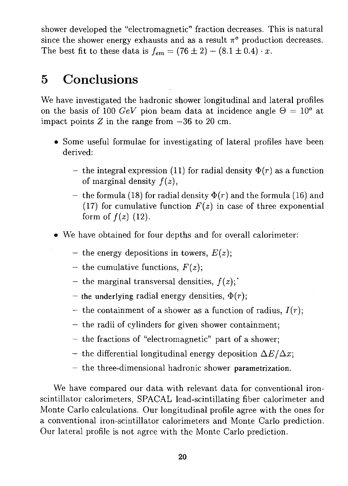shower developed the "electromagnetic" fraction decreases. This is natural since the shower energy exhausts and as a result  $\pi^o$  production decreases. The best fit to these data is  $f_{em} = (76 \pm 2) - (8.1 \pm 0.4) \cdot x$ .

# 5 Conclusions

We have investigated the hadronic shower longitudinal and lateral profiles on the basis of 100 GeV pion beam data at incidence angle  $\Theta = 10^{\circ}$  at impact points  $Z$  in the range from  $-36$  to 20 cm.

- Some useful formulae for investigating of lateral profiles have been derived:
	- the integral expression (11) for radial density  $\Phi(r)$  as a function of marginal density *f(z),*
	- the formula (18) for radial density  $\Phi(r)$  and the formula (16) and (17) for cumulative function  $F(z)$  in case of three exponential form of  $f(z)$  (12).
- We have obtained for four depths and for overall calorimeter:
	- the energy depositions in towers,  $E(z)$ ;
	- the cumulative functions,  $F(z)$ ;
	- *-* the marginal transversal densities,  $f(z)$ ;
	- $-$  the underlying radial energy densities,  $\Phi(r)$ ;
	- the containment of a shower as a function of radius,  $I(r)$ ;
	- the radii of cylinders for given shower containment;
	- the fractions of "electromagnetic" part of a shower;
	- the differential longitudinal energy deposition  $\Delta E/\Delta x$ ;
	- *-* the three-dimensional hadronic shower parametrization.

We have compared our data with relevant data for conventional ironscintillator calorimeters, SPACAL lead-scintillating fiber calorimeter and Monte Carlo calculations. Our longitudinal profile agree with the ones for a conventional iron-scintillator calorimeters and Monte Carlo prediction. Our lateral profile is not agree with the Monte Carlo prediction.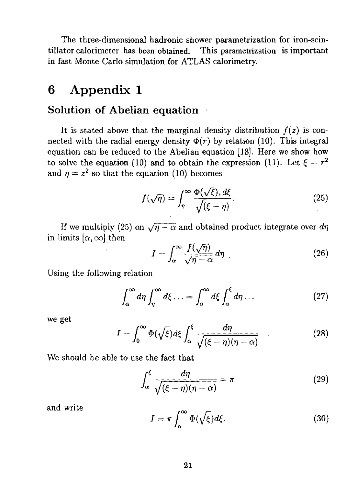The three-dimensional hadronic shower parametrization for iron-scintillator calorimeter has been obtained. This parametrization is important in fast Monte Carlo simulation for ATLAS calorimetry.

## 6 Appendix 1

#### Solution of Abelian equation

It is stated above that the marginal density distribution  $f(z)$  is connected with the radial energy density  $\Phi(r)$  by relation (10). This integral equation can be reduced to the Abelian equation [18]. Here we show how to solve the equation (10) and to obtain the expression (11). Let  $\xi = r^2$ and  $\eta = z^2$  so that the equation (10) becomes

$$
f(\sqrt{\eta}) = \int_{\eta}^{\infty} \frac{\Phi(\sqrt{\xi}), d\xi}{\sqrt{(\xi - \eta)}}.
$$
 (25)

If we multiply (25) on  $\sqrt{\eta - \alpha}$  and obtained product integrate over  $d\eta$ in limits  $[\alpha, \infty]$  then

$$
I = \int_{\alpha}^{\infty} \frac{f(\sqrt{\eta})}{\sqrt{\eta - \alpha}} d\eta \tag{26}
$$

Using the following relation

$$
\int_{\alpha}^{\infty} d\eta \int_{\eta}^{\infty} d\xi \dots = \int_{\alpha}^{\infty} d\xi \int_{\alpha}^{\xi} d\eta \dots \tag{27}
$$

we get

$$
I = \int_0^\infty \Phi(\sqrt{\xi}) d\xi \int_\alpha^\xi \frac{d\eta}{\sqrt{(\xi - \eta)(\eta - \alpha)}} \qquad (28)
$$

We should be able to use the fact that

$$
\int_{\alpha}^{\xi} \frac{d\eta}{\sqrt{(\xi - \eta)(\eta - \alpha)}} = \pi \tag{29}
$$

and write ^

$$
I = \pi \int_{\alpha}^{\infty} \Phi(\sqrt{\xi}) d\xi.
$$
 (30)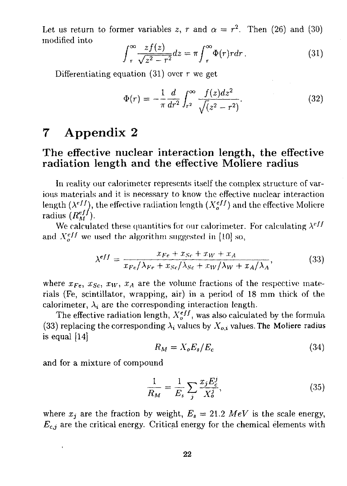Let us return to former variables z, r and  $\alpha = r^2$ . Then (26) and (30) modified into

$$
\int_{r}^{\infty} \frac{zf(z)}{\sqrt{z^2 - r^2}} dz = \pi \int_{r}^{\infty} \Phi(r) r dr.
$$
 (31)

Differentiating equation  $(31)$  over r we get

$$
\Phi(r) = -\frac{1}{\pi} \frac{d}{dr^2} \int_{r^2}^{\infty} \frac{f(z)dz^2}{\sqrt{(z^2 - r^2)}}.
$$
\n(32)

# 7 Appendix 2

### The effective nuclear interaction length, the effective radiation length and the effective Moliere radius

In reality our calorimeter represents itself the complex structure of various materials and it is necessary to know the effective nuclear interaction length  $(\lambda^{eff})$ , the effective radiation length  $(X_o^{eff})$  and the effective Moliere radius  $(R_M^{eff})$ .

We calculated these quantities for our calorimeter. For calculating  $\lambda^{eff}$ and  $X_c^{eff}$  we used the algorithm suggested in [10] so,

$$
\lambda^{eff} = \frac{x_{Fe} + x_{Sc} + x_{W} + x_{A}}{x_{Fe}/\lambda_{Fe} + x_{Sc}/\lambda_{Sc} + x_{W}/\lambda_{W} + x_{A}/\lambda_{A}},
$$
(33)

where  $x_{Fe}$ ,  $x_{Sc}$ ,  $x_W$ ,  $x_A$  are the volume fractions of the respective materials (Fe, scintillator, wrapping, air) in a period of 18 mm thick of the calorimeter,  $\lambda_i$  are the corresponding interaction length.

The effective radiation length,  $X_o^{eff}$ , was also calculated by the formula (33) replacing the corresponding  $\lambda_i$  values by  $X_{o,i}$  values. The Moliere radius is equal [14]

$$
R_M = X_o E_s / E_c \tag{34}
$$

and for a mixture of compound

$$
\frac{1}{R_M} = \frac{1}{E_s} \sum_j \frac{x_j E_c^j}{X_o^j},\tag{35}
$$

where  $x_j$  are the fraction by weight,  $E_s = 21.2 \; MeV$  is the scale energy,  $E_{c,i}$  are the critical energy. Critical energy for the chemical elements with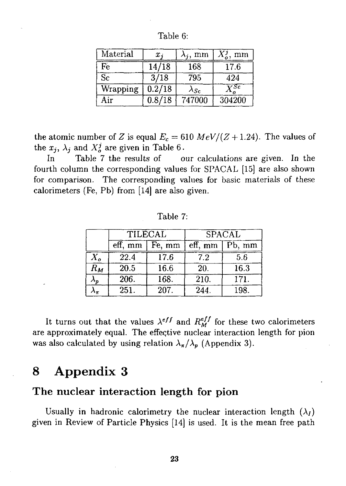| Material | $x_i$  | mm             | X <sup>j</sup><br>mm |
|----------|--------|----------------|----------------------|
| Fe       | 14/18  | 168            | 17.6                 |
| Sc       | 3/18   | 795            | 424                  |
| Wrapping | 0.2/18 | $\lambda_{Sc}$ | $\bar{Y}^{Sc}$       |
| Air      | 0.8/18 | 747000         | 304200               |

Table 6:

the atomic number of *Z* is equal  $E_c = 610 \; MeV/(Z + 1.24)$ . The values of the  $x_j$ ,  $\lambda_j$  and  $X_o^j$  are given in Table 6.

In Table 7 the results of our calculations are given. In the fourth column the corresponding values for SPACAL [15] are also shown for comparison. The corresponding values for basic materials of these calorimeters (Fe, Pb) from [14] are also given.

Table 7:

|                   | TILECAL |        | <b>SPACAL</b>         |                   |  |
|-------------------|---------|--------|-----------------------|-------------------|--|
|                   | eff. mm | Fe, mm | $\overline{eff}$ , mm | Pb, mm            |  |
| $X_o$             | 22.4    | 17.6   | 7.2                   | 5.6               |  |
| $R_M$             | 20.5    | 16.6   | 20.                   | $\overline{16.3}$ |  |
| $\lambda_{\bm p}$ | 206.    | 168.   | 210.                  | 171.              |  |
|                   | 251.    | 207.   | 244.                  | 198.              |  |

It turns out that the values  $\lambda^{eff}$  and  $R_M^{eff}$  for these two calorimeters are approximately equal. The effeqtive nuclear interaction length for pion was also calculated by using relation  $\lambda_{\pi}/\lambda_{p}$  (Appendix 3).

# 8 Appendix 3

#### The nuclear interaction length for pion

Usually in hadronic calorimetry the nuclear interaction length  $(\lambda_I)$ given in Review of Particle Physics [14] is used. It is the mean free path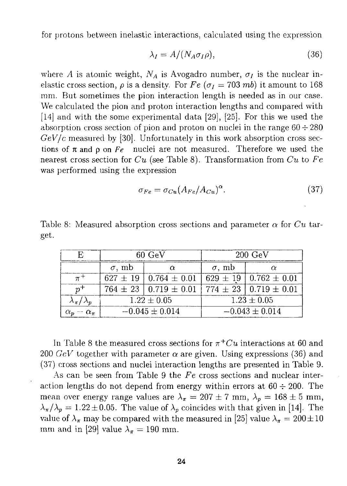for protons between inelastic interactions, calculated using the expression

$$
\lambda_I = A/(N_A \sigma_I \rho),\tag{36}
$$

where *A* is atomic weight,  $N_A$  is Avogadro number,  $\sigma_I$  is the nuclear inelastic cross section,  $\rho$  is a density. For  $Fe$  ( $\sigma_I = 703$  mb) it amount to 168 mm. But sometimes the pion interaction length is needed as in our case. We calculated the pion and proton interaction lengths and compared with [14] and with the some experimental data [29], [25]. For this we used the absorption cross section of pion and proton on nuclei in the range  $60 \div 280$ *GeV/c* measured by [30]. Unfortunately in this work absorption cross sections of  $\pi$  and  $\rho$  on  $Fe$  nuclei are not measured. Therefore we used the nearest cross section for *Cu* (see Table 8). Transformation from *Cu* to *Fe* was performed using the expression

$$
\sigma_{Fe} = \sigma_{Cu} (A_{Fe}/A_{Cu})^{\alpha}.
$$
\n(37)

|      | Table 8: Measured absorption cross sections and parameter $\alpha$ for Cu tar- |  |  |  |  |
|------|--------------------------------------------------------------------------------|--|--|--|--|
| get. |                                                                                |  |  |  |  |

|                             |               | $60 \text{ GeV}$                | $200 \text{ GeV}$  |                                 |  |
|-----------------------------|---------------|---------------------------------|--------------------|---------------------------------|--|
|                             | $\sigma$ , mb |                                 | $\sigma$ , mb      |                                 |  |
|                             |               | $627 \pm 19$   0.764 $\pm$ 0.01 |                    | $629 \pm 19$   0.762 $\pm$ 0.01 |  |
| $n^+$                       |               | $764 \pm 23$   0.719 $\pm$ 0.01 |                    | $774 \pm 23 \pm 0.719 \pm 0.01$ |  |
| $\lambda_{\pi}/\lambda_{p}$ |               | $1.22 \pm 0.05$                 | $1.23 \pm 0.05$    |                                 |  |
| $\alpha_p - \alpha_{\pi}$   |               | $-0.045 \pm 0.014$              | $-0.043 \pm 0.014$ |                                 |  |

In Table 8 the measured cross sections for  $\pi$ <sup>+</sup>*Cu* interactions at 60 and 200 *GeV* together with parameter  $\alpha$  are given. Using expressions (36) and (37) cross sections and nuclei interaction lengths are presented in Table 9.

As can be seen from Table 9 the *Fe* cross sections and nuclear interaction lengths do not depend from energy within errors at  $60 \div 200$ . The mean over energy range values are  $\lambda_{\pi} = 207 \pm 7$  mm,  $\lambda_{p} = 168 \pm 5$  mm,  $\lambda_{\pi}/\lambda_{p} = 1.22\pm0.05$ . The value of  $\lambda_{p}$  coincides with that given in [14]. The value of  $\lambda_{\pi}$  may be compared with the measured in [25] value  $\lambda_{\pi} = 200 \pm 10$ mm and in [29] value  $\lambda_{\pi} = 190$  mm.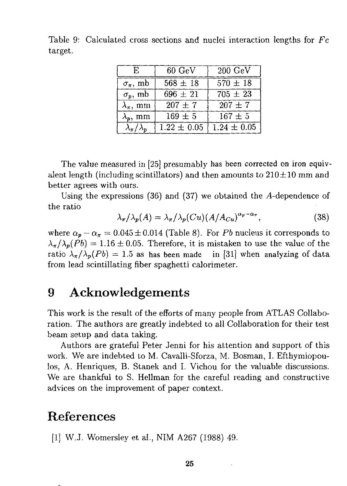Table 9: Calculated cross sections and nuclei interaction lengths for *Fc* target.

| E.                      | 60 GeV          | $200 \text{ GeV}$ |
|-------------------------|-----------------|-------------------|
| $\sigma_{\pi}$ , mb     | $568 \pm 18$    | $570 \pm 18$      |
| $\sigma_p$ , mb         | $696 \pm 21$    | $705 \pm 23$      |
| $\lambda_\pi$ , mm      | $207 \pm 7$     | $207 \pm 7$       |
| $\lambda_p$ , mm        | $169 \pm 5$     | $167 \pm 5$       |
| $\lambda_{\pi}/\lambda$ | $1.22 \pm 0.05$ | $1.24 \pm 0.05$   |

The value measured in [25] presumably has been corrected on iron equivalent length (including scintillators) and then amounts to  $210 \pm 10$  mm and better agrees with ours.

Using the expressions  $(36)$  and  $(37)$  we obtained the A-dependence of the ratio

$$
\lambda_{\pi}/\lambda_p(A) = \lambda_{\pi}/\lambda_p(Cu)(A/A_{Cu})^{\alpha_p - \alpha_{\pi}},
$$
\n(38)

where  $\alpha_p - \alpha_{\pi} = 0.045 \pm 0.014$  (Table 8). For *Pb* nucleus it corresponds to  $\lambda_{\pi}/\lambda_{p}(Pb) = 1.16 \pm 0.05$ . Therefore, it is mistaken to use the value of the ratio  $\lambda_{\pi}/\lambda_{p}(Pb) = 1.5$  as has been made in [31] when analyzing of data from lead scintillating fiber spaghetti calorimeter.

# 9 Acknowledgements

This work is the result of the efforts of many people from ATLAS Collaboration. The authors are greatly indebted to all Collaboration for their test beam setup and data taking.

Authors are grateful Peter Jenni for his attention and support of this work. We are indebted to M. Cavalli-Sforza, M. Bosman, I. Efthymiopoulos, A. Henriques, B. Stanek and I. Vichou for the valuable discussions. We are thankful to S. Hellman for the careful reading and constructive advices on the improvement of paper context.

# References

[1] W.J. Womersley et al., NIM A267 (1988) 49.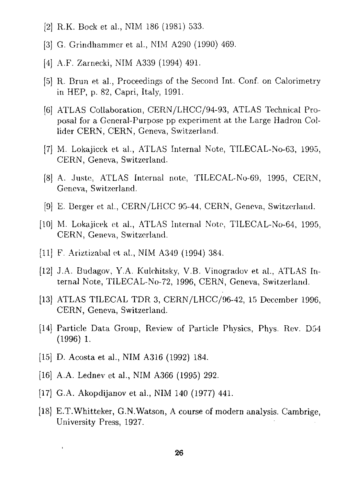- [2] R.K. Bock et al., NIM 186 (1981) 533.
- [3] G. Grindhammer et al., NIM A290 (1990) 469.
- [4] A.F. Zaraecki, NIM A339 (1994) 491.
- [5] R. Brun et al., Proceedings of the Second Int. Conf. on Calorimetry in HEP, p. 82, Capri, Italy, 1991.
- [6] ATLAS Collaboration, CERN/LHCC/94-93, ATLAS Technical Proposal for a General-Purpose pp experiment at the Large Hadron Collider CERN, CERN, Geneva, Switzerland.
- [7] M. Lokajicek et al., ATLAS Internal Note, TILECAL-No-63, 1995, CERN, Geneva, Switzerland.
- [8] A. Juste, ATLAS Internal note, TILECAL-No-69, 1995, CERN, Geneva, Switzerland.
- [9] E. Berger et al., CERN/LHCC 95-44, CERN, Geneva, Switzerland.
- [10] M. Lokajicek et al., ATLAS Internal Note, TILECAL-No-64, 1995, CERN, Geneva, Switzerland.
- [11] F. Ariztizabal et al., NIM A349 (1994) 384.
- [12] J.A. Budagov, Y.A. Kulchitsky, V.B. Vinogradov et al., ATLAS Internal Note, TILECAL-No-72, 1996, CERN, Geneva, Switzerland.
- [13] ATLAS TILECAL TDR 3, CERN/LHCC/96-42, 15 December 1996, CERN, Geneva, Switzerland.
- [14] Particle Data Group, Review of Particle Physics, Phys. Rev. D54 (1996) 1.
- [15] D. Acosta et al., NIM A316 (1992) 184.

ï

- [16] A.A. Lednev et al., NIM A366 (1995) 292.
- [17] G.A. Akopdijanov et al., NIM 140 (1977) 441.
- [18] E.T.Whitteker, G.N.Watson, A course of modern analysis. Cambrige, University Press, 1927.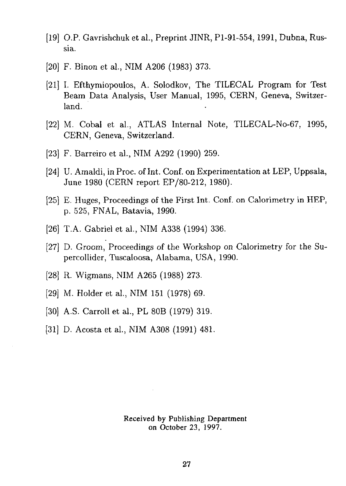- [19] O.P. Gavrishchuk et al., Preprint JINR, Pl-91-554,1991, Dubna, Russia.
- [20] F. Binon et al., NIM A206 (1983) 373.
- [21] I. Efthymiopoulos, A. Solodkov, The TILECAL Program for Test Beam Data Analysis, User Manual, 1995, CERN, Geneva, Switzerland.
- [22] M. Cobal et al., ATLAS Internal Note, TILECAL-No-67, 1995, CERN, Geneva, Switzerland.
- [23] F. Barreiro et al., NIM A292 (1990) 259.
- [24] U. Amaldi, in Proc. of Int. Conf. on Experimentation at LEP, Uppsala, June 1980 (CERN report EP/80-212, 1980).
- [25] E. Huges, Proceedings of the First Int. Conf. on Calorimetry in HEP, p. 525, FNAL, Batavia, 1990.
- [26] T.A. Gabriel et al., NIM A338 (1994) 336.
- [27] D. Groom, Proceedings of the Workshop on Calorimetry for the Supercollider, Tuscaloosa, Alabama, USA, 1990.
- [28] R. Wigmans, NIM A265 (1988) 273.
- [29] M. Holder et al., NIM 151 (1978) 69.
- [30] A.S. Carroll et al., PL 80B (1979) 319.
- [31] D. Acosta et al., NIM A308 (1991) 481.

Received by Publishing Department on October 23, 1997.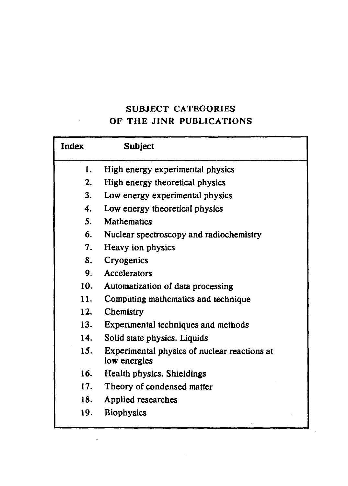## SUBJECT CATEGORIES OF THE J1NR PUBLICATIONS

| <b>Index</b>   | <b>Subject</b>                                               |
|----------------|--------------------------------------------------------------|
| 1.             | High energy experimental physics                             |
| 2.             | High energy theoretical physics                              |
| 3.             | Low energy experimental physics                              |
| 4.             | Low energy theoretical physics                               |
| 5 <sub>1</sub> | <b>Mathematics</b>                                           |
| 6.             | Nuclear spectroscopy and radiochemistry                      |
| 7.             | Heavy ion physics                                            |
| 8.             | Cryogenics                                                   |
| 9.             | Accelerators                                                 |
| 10.            | Automatization of data processing                            |
| 11.            | Computing mathematics and technique                          |
| 12.            | Chemistry                                                    |
| 13.            | Experimental techniques and methods                          |
| 14.            | Solid state physics. Liquids                                 |
| 15.            | Experimental physics of nuclear reactions at<br>low energies |
| 16.            | Health physics. Shieldings                                   |
| 17.            | Theory of condensed matter                                   |
| 18.            | Applied researches                                           |
| 19.            | <b>Biophysics</b>                                            |

 $\ddot{\phantom{a}}$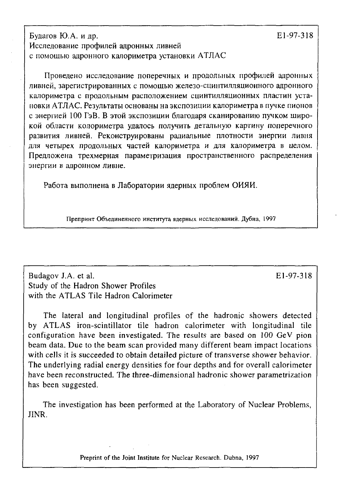Будагов Ю.А. и др.  $E1-97-318$ Исследование профилей адронных ливней с помощью адронного калориметра установки АТЛАС

Проведено исследование поперечных и продольных профилей адронных ливней, зарегистрированных с помощью железо-сцинтилляционного адронного калориметра с продольным расположением сцинтилляционных пластин установки АТЛАС. Результаты основаны на экспозиции калориметра в пучке пионов с энергией 100 ГэВ. В этой экспозиции благодаря сканированию пучком широкой области колориметра удалось получить детальную картину поперечного развития ливней. Реконструированы радиальные плотности энергии ливня для четырех продольных частей калориметра и для калориметра в целом. Предложена трехмерная параметризация пространственного распределения энергии в адронном ливне.

Работа выполнена в Лаборатории ядерных проблем ОИЯИ.

Препринт Объединенного института ядерных исследований. Дубна, 1997

Budagov J.A. et al. El-97-318 Study of the Hadron Shower Profiles with the ATLAS Tile Hadron Calorimeter

The lateral and longitudinal profiles of the hadronic showers detected by ATLAS iron-scintillator tile hadron calorimeter with longitudinal tile configuration have been investigated. The results are based on 100 GeV pion beam data. Due to the beam scan provided many different beam impact locations with cells it is succeeded to obtain detailed picture of transverse shower behavior. The underlying radial energy densities for four depths and for overall calorimeter have been reconstructed. The three-dimensional hadronic shower parametrization has been suggested.

The investigation has been performed at the Laboratory of Nuclear Problems, JINR.

Preprint of the **Joint Institute** for Nuclear Research. Dubna, 1997